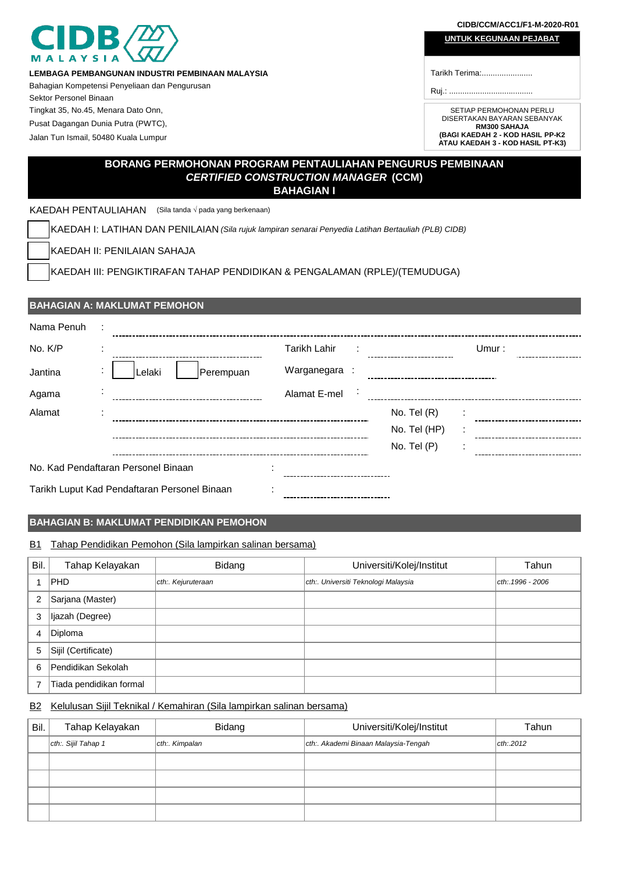|                                                               |                                                                                                      |                     |               |              | CIDB/CCM/ACC1/F1-M-2020-R01                             |
|---------------------------------------------------------------|------------------------------------------------------------------------------------------------------|---------------------|---------------|--------------|---------------------------------------------------------|
|                                                               |                                                                                                      |                     |               |              | <b>UNTUK KEGUNAAN PEJABAT</b>                           |
|                                                               |                                                                                                      |                     |               |              |                                                         |
|                                                               | LEMBAGA PEMBANGUNAN INDUSTRI PEMBINAAN MALAYSIA                                                      |                     |               |              | Tarikh Terima:                                          |
|                                                               | Bahagian Kompetensi Penyeliaan dan Pengurusan                                                        |                     |               |              |                                                         |
| Sektor Personel Binaan<br>Tingkat 35, No.45, Menara Dato Onn, |                                                                                                      |                     |               |              | SETIAP PERMOHONAN PERLU                                 |
| Pusat Dagangan Dunia Putra (PWTC),                            |                                                                                                      |                     |               |              | DISERTAKAN BAYARAN SEBANYAK                             |
| Jalan Tun Ismail, 50480 Kuala Lumpur                          |                                                                                                      |                     |               |              | <b>RM300 SAHAJA</b><br>(BAGI KAEDAH 2 - KOD HASIL PP-K2 |
|                                                               |                                                                                                      |                     |               |              | ATAU KAEDAH 3 - KOD HASIL PT-K3)                        |
|                                                               | BORANG PERMOHONAN PROGRAM PENTAULIAHAN PENGURUS PEMBINAAN                                            |                     |               |              |                                                         |
|                                                               | <b>CERTIFIED CONSTRUCTION MANAGER (CCM)</b>                                                          |                     |               |              |                                                         |
|                                                               |                                                                                                      | <b>BAHAGIAN I</b>   |               |              |                                                         |
| KAEDAH PENTAULIAHAN                                           | (Sila tanda $\sqrt{}$ pada yang berkenaan)                                                           |                     |               |              |                                                         |
|                                                               | KAEDAH I: LATIHAN DAN PENILAIAN (Sila rujuk lampiran senarai Penyedia Latihan Bertauliah (PLB) CIDB) |                     |               |              |                                                         |
|                                                               | KAEDAH II: PENILAIAN SAHAJA                                                                          |                     |               |              |                                                         |
|                                                               | KAEDAH III: PENGIKTIRAFAN TAHAP PENDIDIKAN & PENGALAMAN (RPLE)/(TEMUDUGA)                            |                     |               |              |                                                         |
|                                                               |                                                                                                      |                     |               |              |                                                         |
|                                                               |                                                                                                      |                     |               |              |                                                         |
|                                                               | <b>BAHAGIAN A: MAKLUMAT PEMOHON</b>                                                                  |                     |               |              |                                                         |
| Nama Penuh                                                    |                                                                                                      |                     |               |              |                                                         |
| No. K/P                                                       |                                                                                                      | <b>Tarikh Lahir</b> |               |              | Umur:                                                   |
| Jantina                                                       | Perempuan<br>Lelaki                                                                                  | Warganegara :       |               |              |                                                         |
|                                                               |                                                                                                      |                     |               |              |                                                         |
| Agama                                                         |                                                                                                      | Alamat E-mel        |               |              |                                                         |
| Alamat                                                        |                                                                                                      |                     | No. Tel $(R)$ |              |                                                         |
|                                                               |                                                                                                      |                     |               | No. Tel (HP) |                                                         |
|                                                               |                                                                                                      |                     | No. Tel (P)   |              |                                                         |

No. Kad Pendaftaran Personel Binaan :

Tarikh Luput Kad Pendaftaran Personel Binaan :

# **BAHAGIAN B: MAKLUMAT PENDIDIKAN PEMOHON**

# B1 Tahap Pendidikan Pemohon (Sila lampirkan salinan bersama)

| Bil.           | Tahap Kelayakan         | Bidang             | Universiti/Kolej/Institut           | Tahun            |
|----------------|-------------------------|--------------------|-------------------------------------|------------------|
|                | <b>PHD</b>              | cth:. Kejuruteraan | cth:. Universiti Teknologi Malaysia | cth: 1996 - 2006 |
| $\overline{2}$ | Sarjana (Master)        |                    |                                     |                  |
| 3              | Ijazah (Degree)         |                    |                                     |                  |
| 4              | Diploma                 |                    |                                     |                  |
| 5              | Sijil (Certificate)     |                    |                                     |                  |
| 6              | Pendidikan Sekolah      |                    |                                     |                  |
|                | Tiada pendidikan formal |                    |                                     |                  |

# B2 Kelulusan Sijil Teknikal / Kemahiran (Sila lampirkan salinan bersama)

| Bil. | Tahap Kelayakan     | Bidang        | Universiti/Kolej/Institut            | Tahun         |
|------|---------------------|---------------|--------------------------------------|---------------|
|      | cth:. Sijil Tahap 1 | cth: Kimpalan | cth:. Akademi Binaan Malaysia-Tengah | $ $ cth: 2012 |
|      |                     |               |                                      |               |
|      |                     |               |                                      |               |
|      |                     |               |                                      |               |
|      |                     |               |                                      |               |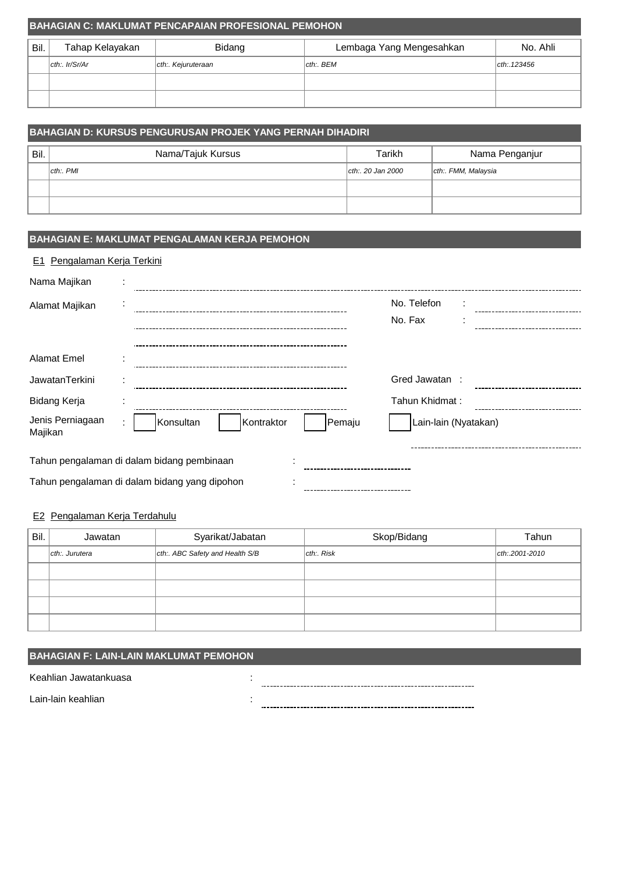|      | <b>BAHAGIAN C: MAKLUMAT PENCAPAIAN PROFESIONAL PEMOHON</b> |                   |                          |             |  |
|------|------------------------------------------------------------|-------------------|--------------------------|-------------|--|
| Bil. | Tahap Kelayakan                                            | Bidang            | Lembaga Yang Mengesahkan | No. Ahli    |  |
|      | $ $ cth:. Ir/Sr/Ar                                         | cth: Kejuruteraan | cth: BEM                 | cth: 123456 |  |
|      |                                                            |                   |                          |             |  |
|      |                                                            |                   |                          |             |  |

|      | BAHAGIAN D: KURSUS PENGURUSAN PROJEK YANG PERNAH DIHADIRI |                   |                    |  |
|------|-----------------------------------------------------------|-------------------|--------------------|--|
| Bil. | Nama/Tajuk Kursus                                         | Tarikh            | Nama Penganjur     |  |
|      | cth: PMI                                                  | cth:. 20 Jan 2000 | cth: FMM, Malaysia |  |
|      |                                                           |                   |                    |  |
|      |                                                           |                   |                    |  |

# **BAHAGIAN E: MAKLUMAT PENGALAMAN KERJA PEMOHON**

## E1 Pengalaman Kerja Terkini

| Nama Majikan                |                                               |                      |  |  |
|-----------------------------|-----------------------------------------------|----------------------|--|--|
| Alamat Majikan              |                                               | No. Telefon          |  |  |
|                             |                                               | No. Fax              |  |  |
|                             |                                               |                      |  |  |
| <b>Alamat Emel</b>          |                                               |                      |  |  |
| JawatanTerkini              |                                               | Gred Jawatan :       |  |  |
| Bidang Kerja                |                                               | Tahun Khidmat:       |  |  |
| Jenis Perniagaan<br>Majikan | Konsultan<br>Kontraktor<br>Pemaju             | Lain-lain (Nyatakan) |  |  |
|                             | Tahun pengalaman di dalam bidang pembinaan    |                      |  |  |
|                             | Tahun pengalaman di dalam bidang yang dipohon |                      |  |  |

## E2 Pengalaman Kerja Terdahulu

| Bil. | Jawatan       | Syarikat/Jabatan                | Skop/Bidang    | Tahun          |
|------|---------------|---------------------------------|----------------|----------------|
|      | cth: Jurutera | cth:. ABC Safety and Health S/B | $ $ cth:. Risk | cth: 2001-2010 |
|      |               |                                 |                |                |
|      |               |                                 |                |                |
|      |               |                                 |                |                |
|      |               |                                 |                |                |

## **BAHAGIAN F: LAIN-LAIN MAKLUMAT PEMOHON**

Keahlian Jawatankuasa :

Lain-lain keahlian :

----------------------------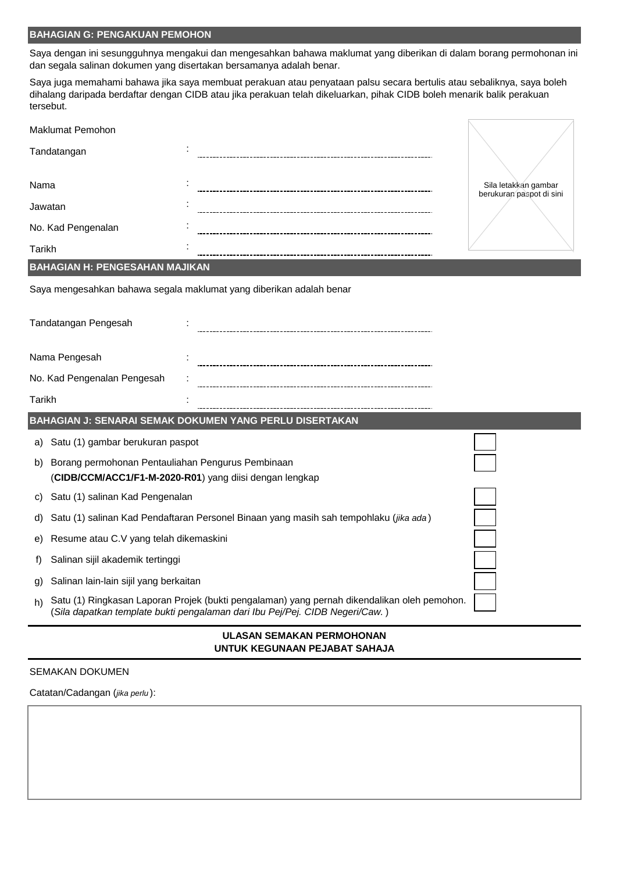# **BAHAGIAN G: PENGAKUAN PEMOHON**

Saya dengan ini sesungguhnya mengakui dan mengesahkan bahawa maklumat yang diberikan di dalam borang permohonan ini dan segala salinan dokumen yang disertakan bersamanya adalah benar.

Saya juga memahami bahawa jika saya membuat perakuan atau penyataan palsu secara bertulis atau sebaliknya, saya boleh dihalang daripada berdaftar dengan CIDB atau jika perakuan telah dikeluarkan, pihak CIDB boleh menarik balik perakuan tersebut.

|                                              | <b>Maklumat Pemohon</b>                                                                                      |                                                                                                                                                                             |                                                  |
|----------------------------------------------|--------------------------------------------------------------------------------------------------------------|-----------------------------------------------------------------------------------------------------------------------------------------------------------------------------|--------------------------------------------------|
| Tandatangan                                  |                                                                                                              |                                                                                                                                                                             |                                                  |
| Nama                                         |                                                                                                              |                                                                                                                                                                             | Sila letakkan gambar<br>berukuran paspot di sini |
| Jawatan                                      |                                                                                                              |                                                                                                                                                                             |                                                  |
|                                              | No. Kad Pengenalan                                                                                           |                                                                                                                                                                             |                                                  |
| <b>Tarikh</b>                                |                                                                                                              |                                                                                                                                                                             |                                                  |
|                                              | <b>BAHAGIAN H: PENGESAHAN MAJIKAN</b>                                                                        |                                                                                                                                                                             |                                                  |
|                                              |                                                                                                              | Saya mengesahkan bahawa segala maklumat yang diberikan adalah benar                                                                                                         |                                                  |
|                                              | Tandatangan Pengesah                                                                                         |                                                                                                                                                                             |                                                  |
|                                              | Nama Pengesah                                                                                                |                                                                                                                                                                             |                                                  |
| No. Kad Pengenalan Pengesah                  |                                                                                                              |                                                                                                                                                                             |                                                  |
| Tarikh                                       |                                                                                                              |                                                                                                                                                                             |                                                  |
|                                              |                                                                                                              | BAHAGIAN J: SENARAI SEMAK DOKUMEN YANG PERLU DISERTAKAN                                                                                                                     |                                                  |
| a)                                           | Satu (1) gambar berukuran paspot                                                                             |                                                                                                                                                                             |                                                  |
| b)                                           | Borang permohonan Pentauliahan Pengurus Pembinaan<br>(CIDB/CCM/ACC1/F1-M-2020-R01) yang diisi dengan lengkap |                                                                                                                                                                             |                                                  |
| C)                                           | Satu (1) salinan Kad Pengenalan                                                                              |                                                                                                                                                                             |                                                  |
| d)                                           |                                                                                                              | Satu (1) salinan Kad Pendaftaran Personel Binaan yang masih sah tempohlaku (jika ada)                                                                                       |                                                  |
| e)                                           | Resume atau C.V yang telah dikemaskini                                                                       |                                                                                                                                                                             |                                                  |
| t)                                           | Salinan sijil akademik tertinggi                                                                             |                                                                                                                                                                             |                                                  |
| Salinan lain-lain sijil yang berkaitan<br>g) |                                                                                                              |                                                                                                                                                                             |                                                  |
| h)                                           |                                                                                                              | Satu (1) Ringkasan Laporan Projek (bukti pengalaman) yang pernah dikendalikan oleh pemohon.<br>(Sila dapatkan template bukti pengalaman dari Ibu Pej/Pej. CIDB Negeri/Caw.) |                                                  |
|                                              |                                                                                                              | <b>III ACAN CEMAIZAN DEDMOUONIAN</b>                                                                                                                                        |                                                  |

#### **ULASAN SEMAKAN PERMOHONAN UNTUK KEGUNAAN PEJABAT SAHAJA**

### SEMAKAN DOKUMEN

Catatan/Cadangan (*jika perlu* ):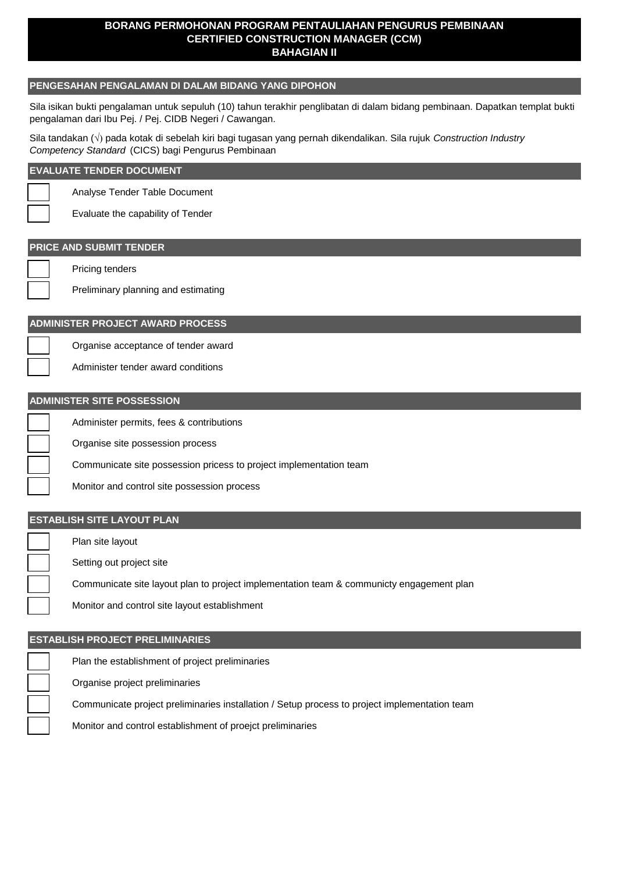## **BORANG PERMOHONAN PROGRAM PENTAULIAHAN PENGURUS PEMBINAAN CERTIFIED CONSTRUCTION MANAGER (CCM) BAHAGIAN II**

## **PENGESAHAN PENGALAMAN DI DALAM BIDANG YANG DIPOHON**

Sila isikan bukti pengalaman untuk sepuluh (10) tahun terakhir penglibatan di dalam bidang pembinaan. Dapatkan templat bukti pengalaman dari Ibu Pej. / Pej. CIDB Negeri / Cawangan.

Sila tandakan ( $\sqrt{ }$ ) pada kotak di sebelah kiri bagi tugasan yang pernah dikendalikan. Sila rujuk *Construction Industry Competency Standard* (CICS) bagi Pengurus Pembinaan

#### **EVALUATE TENDER DOCUMENT**

Analyse Tender Table Document

Evaluate the capability of Tender

# **PRICE AND SUBMIT TENDER**

Pricing tenders

Preliminary planning and estimating

### **ADMINISTER PROJECT AWARD PROCESS**

Organise acceptance of tender award

Administer tender award conditions

### **ADMINISTER SITE POSSESSION**

Administer permits, fees & contributions

Organise site possession process

Communicate site possession pricess to project implementation team

Monitor and control site possession process

## **ESTABLISH SITE LAYOUT PLAN**

Plan site layout

Setting out project site

Communicate site layout plan to project implementation team & communicty engagement plan

Monitor and control site layout establishment

## **ESTABLISH PROJECT PRELIMINARIES**

Plan the establishment of project preliminaries

Organise project preliminaries

Communicate project preliminaries installation / Setup process to project implementation team

Monitor and control establishment of proejct preliminaries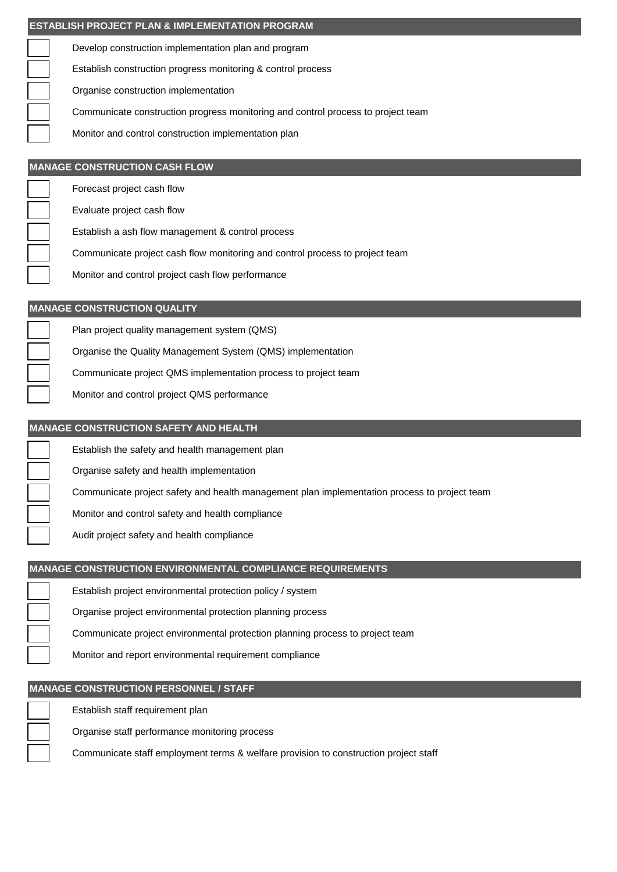| I ESTABLISH PROJECT PLAN & IMPLEMENTATION PROGRAM                                |
|----------------------------------------------------------------------------------|
| Develop construction implementation plan and program                             |
| Establish construction progress monitoring & control process                     |
| Organise construction implementation                                             |
| Communicate construction progress monitoring and control process to project team |
| Monitor and control construction implementation plan                             |
|                                                                                  |
| <b>MANAGE CONSTRUCTION CASH FLOW</b>                                             |
| Forecast project cash flow                                                       |
| Evaluate project cash flow                                                       |

Establish a ash flow management & control process

Communicate project cash flow monitoring and control process to project team

Monitor and control project cash flow performance

### **MANAGE CONSTRUCTION QUALITY**

Plan project quality management system (QMS)

Organise the Quality Management System (QMS) implementation

Communicate project QMS implementation process to project team

Monitor and control project QMS performance

### **MANAGE CONSTRUCTION SAFETY AND HEALTH**

Establish the safety and health management plan

Organise safety and health implementation

Communicate project safety and health management plan implementation process to project team

Monitor and control safety and health compliance

Audit project safety and health compliance

# **MANAGE CONSTRUCTION ENVIRONMENTAL COMPLIANCE REQUIREMENTS**

Establish project environmental protection policy / system

Organise project environmental protection planning process

Communicate project environmental protection planning process to project team

Monitor and report environmental requirement compliance

# **MANAGE CONSTRUCTION PERSONNEL / STAFF**

Establish staff requirement plan

Organise staff performance monitoring process

Communicate staff employment terms & welfare provision to construction project staff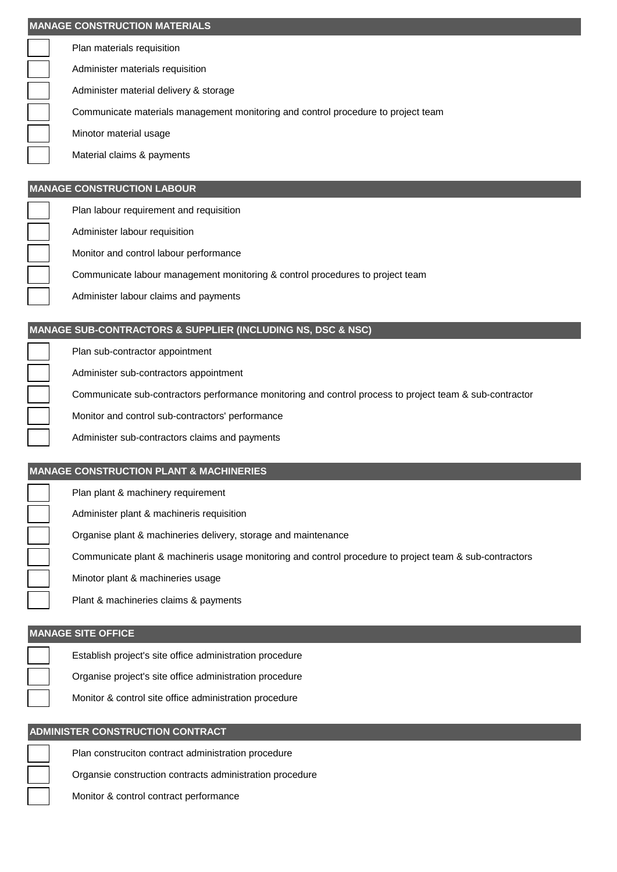| <b>IMANAGE CONSTRUCTION MATERIALS</b> |                                                                                   |  |  |  |
|---------------------------------------|-----------------------------------------------------------------------------------|--|--|--|
|                                       | Plan materials requisition                                                        |  |  |  |
|                                       | Administer materials requisition                                                  |  |  |  |
|                                       | Administer material delivery & storage                                            |  |  |  |
|                                       | Communicate materials management monitoring and control procedure to project team |  |  |  |
|                                       | Minotor material usage                                                            |  |  |  |
|                                       | Material claims & payments                                                        |  |  |  |

## **MANAGE CONSTRUCTION LABOUR**

Plan labour requirement and requisition

Administer labour requisition

Monitor and control labour performance

Communicate labour management monitoring & control procedures to project team

Administer labour claims and payments

## **MANAGE SUB-CONTRACTORS & SUPPLIER (INCLUDING NS, DSC & NSC)**

Plan sub-contractor appointment

Administer sub-contractors appointment

Communicate sub-contractors performance monitoring and control process to project team & sub-contractor

Monitor and control sub-contractors' performance

Administer sub-contractors claims and payments

## **MANAGE CONSTRUCTION PLANT & MACHINERIES**

Plan plant & machinery requirement

Administer plant & machineris requisition

Organise plant & machineries delivery, storage and maintenance

Communicate plant & machineris usage monitoring and control procedure to project team & sub-contractors

Minotor plant & machineries usage

Plant & machineries claims & payments

## **MANAGE SITE OFFICE**

Establish project's site office administration procedure

Organise project's site office administration procedure

Monitor & control site office administration procedure

### **ADMINISTER CONSTRUCTION CONTRACT**

Plan construciton contract administration procedure

Organsie construction contracts administration procedure

Monitor & control contract performance